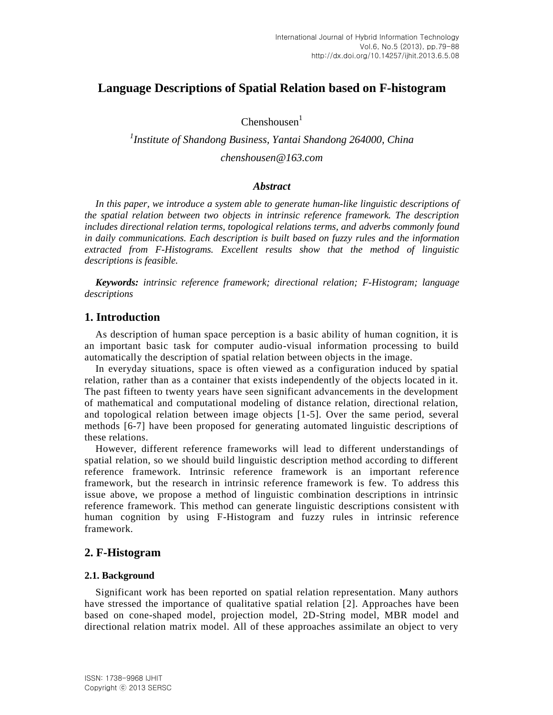# **Language Descriptions of Spatial Relation based on F-histogram**

 $Chenshousen<sup>1</sup>$ 

*1 Institute of Shandong Business, Yantai Shandong 264000, China chenshousen@163.com*

### *Abstract*

*In this paper, we introduce a system able to generate human-like linguistic descriptions of the spatial relation between two objects in intrinsic reference framework. The description includes directional relation terms, topological relations terms, and adverbs commonly found in daily communications. Each description is built based on fuzzy rules and the information extracted from F-Histograms. Excellent results show that the method of linguistic descriptions is feasible.*

*Keywords: intrinsic reference framework; directional relation; F-Histogram; language descriptions*

## **1. Introduction**

As description of human space perception is a basic ability of human cognition, it is an important basic task for computer audio-visual information processing to build automatically the description of spatial relation between objects in the image.

In everyday situations, space is often viewed as a configuration induced by spatial relation, rather than as a container that exists independently of the objects located in it. The past fifteen to twenty years have seen significant advancements in the development of mathematical and computational modeling of distance relation, directional relation, and topological relation between image objects [1-5]. Over the same period, several methods [6-7] have been proposed for generating automated linguistic descriptions of these relations.

However, different reference frameworks will lead to different understandings of spatial relation, so we should build linguistic description method according to different reference framework. Intrinsic reference framework is an important reference framework, but the research in intrinsic reference framework is few. To address this issue above, we propose a method of linguistic combination descriptions in intrinsic reference framework. This method can generate linguistic descriptions consistent with human cognition by using F-Histogram and fuzzy rules in intrinsic reference framework.

## **2. F-Histogram**

### **2.1. Background**

Significant work has been reported on spatial relation representation. Many authors have stressed the importance of qualitative spatial relation [2]. Approaches have been based on cone-shaped model, projection model, 2D-String model, MBR model and directional relation matrix model. All of these approaches assimilate an object to very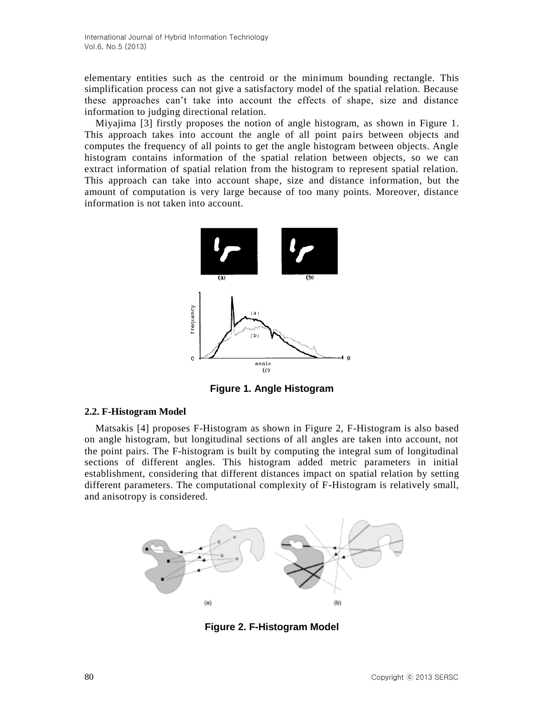elementary entities such as the centroid or the minimum bounding rectangle. This simplification process can not give a satisfactory model of the spatial relation. Because these approaches can't take into account the effects of shape, size and distance information to judging directional relation.

Miyajima [3] firstly proposes the notion of angle histogram, as shown in Figure 1. This approach takes into account the angle of all point pairs between objects and computes the frequency of all points to get the angle histogram between objects. Angle histogram contains information of the spatial relation between objects, so we can extract information of spatial relation from the histogram to represent spatial relation. This approach can take into account shape, size and distance information, but the amount of computation is very large because of too many points. Moreover, distance information is not taken into account.



**Figure 1. Angle Histogram**

#### **2.2. F-Histogram Model**

Matsakis [4] proposes F-Histogram as shown in Figure 2, F-Histogram is also based on angle histogram, but longitudinal sections of all angles are taken into account, not the point pairs. The F-histogram is built by computing the integral sum of longitudinal sections of different angles. This histogram added metric parameters in initial establishment, considering that different distances impact on spatial relation by setting different parameters. The computational complexity of F-Histogram is relatively small, and anisotropy is considered.



**Figure 2. F-Histogram Model**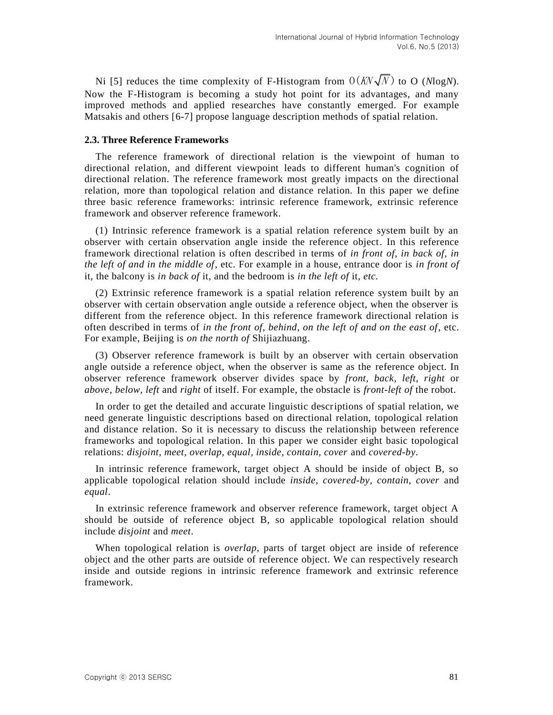Ni [5] reduces the time complexity of F-Histogram from  $O(KN\sqrt{N})$  to O (NlogN). Now the F-Histogram is becoming a study hot point for its advantages, and many improved methods and applied researches have constantly emerged. For example Matsakis and others [6-7] propose language description methods of spatial relation.

### **2.3. Three Reference Frameworks**

The reference framework of directional relation is the viewpoint of human to directional relation, and different viewpoint leads to different human's cognition of directional relation. The reference framework most greatly impacts on the directional relation, more than topological relation and distance relation. In this paper we define three basic reference frameworks: intrinsic reference framework, extrinsic reference framework and observer reference framework.

(1) Intrinsic reference framework is a spatial relation reference system built by an observer with certain observation angle inside the reference object. In this reference framework directional relation is often described in terms of *in front of, in back of, in the left of and in the middle of*, etc. For example in a house, entrance door is *in front of*  it, the balcony is *in back of* it, and the bedroom is *in the left of* it, *etc.*

(2) Extrinsic reference framework is a spatial relation reference system built by an observer with certain observation angle outside a reference object, when the observer is different from the reference object. In this reference framework directional relation is often described in terms of *in the front of, behind, on the left of and on the east of*, etc. For example, Beijing is *on the north of* Shijiazhuang.

(3) Observer reference framework is built by an observer with certain observation angle outside a reference object, when the observer is same as the reference object. In observer reference framework observer divides space by *front, back, left, right* or *above*, *below, left* and *right* of itself. For example, the obstacle is *front-left of* the robot.

In order to get the detailed and accurate linguistic descriptions of spatial relation, we need generate linguistic descriptions based on directional relation, topological relation and distance relation. So it is necessary to discuss the relationship between reference frameworks and topological relation. In this paper we consider eight basic topological relations: *disjoint, meet, overlap, equal, inside, contain, cover* and *covered-by*.

In intrinsic reference framework, target object A should be inside of object B, so applicable topological relation should include *inside, covered-by, contain, cover* and *equal*.

In extrinsic reference framework and observer reference framework, target object A should be outside of reference object B, so applicable topological relation should include *disjoint* and *meet*.

When topological relation is *overlap*, parts of target object are inside of reference object and the other parts are outside of reference object. We can respectively research inside and outside regions in intrinsic reference framework and extrinsic reference framework.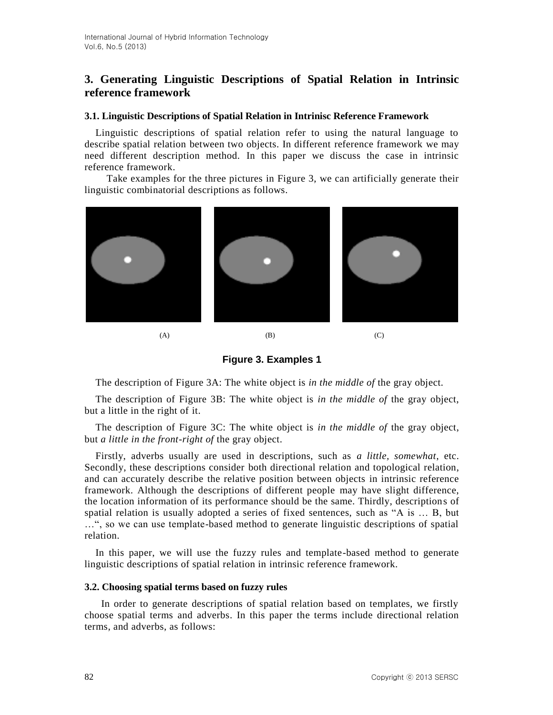## **3. Generating Linguistic Descriptions of Spatial Relation in Intrinsic reference framework**

### **3.1. Linguistic Descriptions of Spatial Relation in Intrinisc Reference Framework**

Linguistic descriptions of spatial relation refer to using the natural language to describe spatial relation between two objects. In different reference framework we may need different description method. In this paper we discuss the case in intrinsic reference framework.

 Take examples for the three pictures in Figure 3, we can artificially generate their linguistic combinatorial descriptions as follows.



**Figure 3. Examples 1**

The description of Figure 3A: The white object is *in the middle of* the gray object.

The description of Figure 3B: The white object is *in the middle of* the gray object, but a little in the right of it.

The description of Figure 3C: The white object is *in the middle of* the gray object, but *a little in the front-right of* the gray object.

Firstly, adverbs usually are used in descriptions, such as *a little, somewhat*, etc. Secondly, these descriptions consider both directional relation and topological relation, and can accurately describe the relative position between objects in intrinsic reference framework. Although the descriptions of different people may have slight difference, the location information of its performance should be the same. Thirdly, descriptions of spatial relation is usually adopted a series of fixed sentences, such as "A is … B, but …", so we can use template-based method to generate linguistic descriptions of spatial relation.

In this paper, we will use the fuzzy rules and template-based method to generate linguistic descriptions of spatial relation in intrinsic reference framework.

#### **3.2. Choosing spatial terms based on fuzzy rules**

 In order to generate descriptions of spatial relation based on templates, we firstly choose spatial terms and adverbs. In this paper the terms include directional relation terms, and adverbs, as follows: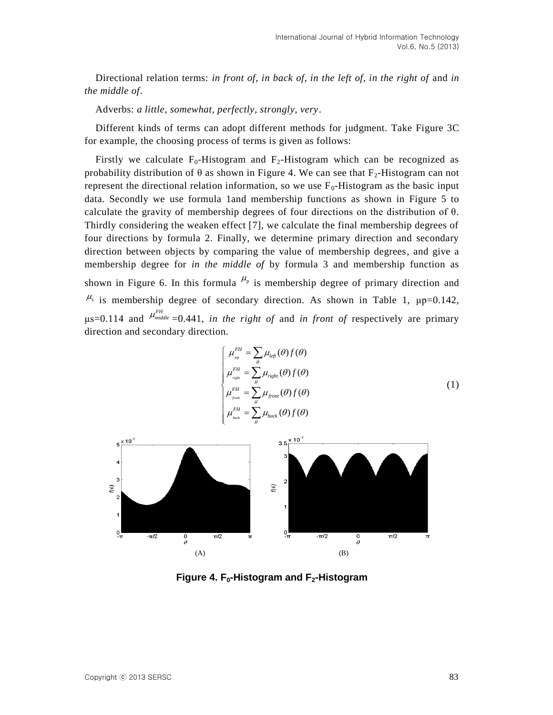Directional relation terms: *in front of*, *in back of, in the left of, in the right of* and *in the middle of*.

Adverbs: *a little, somewhat, perfectly, strongly, very*.

Different kinds of terms can adopt different methods for judgment. Take Figure 3C for example, the choosing process of terms is given as follows:

Firstly we calculate  $F_0$ -Histogram and  $F_2$ -Histogram which can be recognized as probability distribution of  $\theta$  as shown in Figure 4. We can see that F<sub>2</sub>-Histogram can not represent the directional relation information, so we use  $F_0$ -Histogram as the basic input data. Secondly we use formula 1and membership functions as shown in Figure 5 to calculate the gravity of membership degrees of four directions on the distribution of  $\theta$ . Thirdly considering the weaken effect [7], we calculate the final membership degrees of four directions by formula 2. Finally, we determine primary direction and secondary direction between objects by comparing the value of membership degrees, and give a membership degree for *in the middle of* by formula 3 and membership function as shown in Figure 6. In this formula  $^{\mu_p}$  is membership degree of primary direction and  $\mu$ <sub>s</sub> is membership degree of secondary direction. As shown in Table 1,  $\mu$ p=0.142,  $\mu$ s=0.114 and  $\mu_{middle}^{FH}$  =0.441, *in the right of* and *in front of* respectively are primary direction and secondary direction.

$$
\begin{cases}\n\mu_{\text{left}}^{FH} = \sum_{\theta} \mu_{\text{left}}(\theta) f(\theta) \\
\mu_{\text{right}}^{FH} = \sum_{\theta} \mu_{\text{right}}(\theta) f(\theta) \\
\mu_{\text{post}}^{FH} = \sum_{\theta} \mu_{\text{front}}(\theta) f(\theta) \\
\mu_{\text{back}}^{FH} = \sum_{\theta} \mu_{\text{back}}(\theta) f(\theta)\n\end{cases} (1)
$$



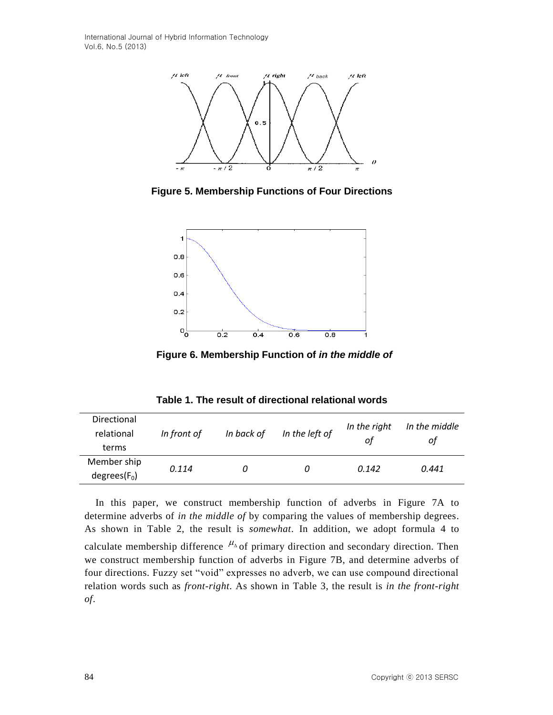International Journal of Hybrid Information Technology Vol.6, No.5 (2013)



**Figure 5. Membership Functions of Four Directions**



**Figure 6. Membership Function of** *in the middle of*

**Table 1. The result of directional relational words**

| Directional<br>relational<br>terms | In front of | In back of | In the left of | In the right<br>οt | In the middle<br>οt |
|------------------------------------|-------------|------------|----------------|--------------------|---------------------|
| Member ship                        | 0.114       |            | U              | 0.142              | 0.441               |
| $degrees(F_0)$                     |             |            |                |                    |                     |

In this paper, we construct membership function of adverbs in Figure 7A to determine adverbs of *in the middle of* by comparing the values of membership degrees. As shown in Table 2, the result is *somewhat*. In addition, we adopt formula 4 to calculate membership difference  $\mu_{\Delta}$  of primary direction and secondary direction. Then we construct membership function of adverbs in Figure 7B, and determine adverbs of four directions. Fuzzy set "void" expresses no adverb, we can use compound directional relation words such as *front-right*. As shown in Table 3, the result is *in the front-right of*.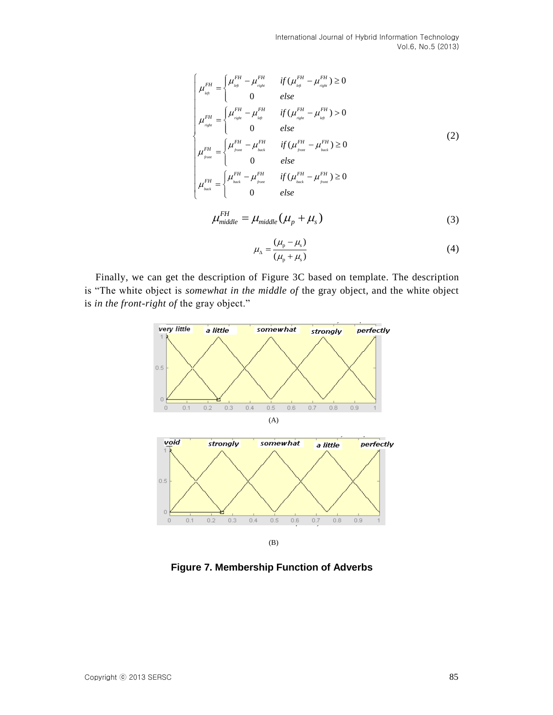International Journal of Hybrid Information Technology Vol.6, No.5 (2013)

$$
\begin{cases}\n\mu_{\text{left}}^{FH} = \begin{cases}\n\mu_{\text{left}}^{FH} - \mu_{\text{right}}^{FH} & \text{if } (\mu_{\text{left}}^{FH} - \mu_{\text{right}}^{FH}) \ge 0 \\
0 & \text{else}\n\end{cases} \\
\mu_{\text{right}}^{FH} = \begin{cases}\n\mu_{\text{right}}^{FH} - \mu_{\text{left}}^{FH} & \text{if } (\mu_{\text{right}}^{FH} - \mu_{\text{left}}^{FH}) > 0 \\
0 & \text{else}\n\end{cases} \\
\mu_{\text{right}}^{FH} = \begin{cases}\n\mu_{\text{front}}^{FH} - \mu_{\text{back}}^{FH} & \text{if } (\mu_{\text{from}}^{FH} - \mu_{\text{back}}^{FH}) \ge 0 \\
0 & \text{else}\n\end{cases} \\
\mu_{\text{float}}^{FH} = \begin{cases}\n\mu_{\text{front}}^{FH} - \mu_{\text{back}}^{FH} & \text{if } (\mu_{\text{from}}^{FH} - \mu_{\text{back}}^{FH}) \ge 0 \\
0 & \text{else}\n\end{cases} \\
\mu_{\text{back}}^{FH} = \begin{cases}\n\mu_{\text{out}}^{FH} - \mu_{\text{from}}^{FH} & \text{if } (\mu_{\text{back}}^{FH} - \mu_{\text{from}}^{FH}) \ge 0 \\
0 & \text{else}\n\end{cases} \\
\mu_{\text{middle}}^{FH} = \mu_{\text{middle}}^{H} (\mu_{\text{back}}^{FH} - \mu_{\text{from}}^{FH}) \ge 0\n\end{cases} (3)\n\end{cases}
$$

$$
\mu_{\Delta} = \frac{(\mu_{\rm p} - \mu_{\rm s})}{(\mu_{\rm p} + \mu_{\rm s})} \tag{4}
$$

Finally, we can get the description of Figure 3C based on template. The description is "The white object is *somewhat in the middle of* the gray object, and the white object is *in the front-right of* the gray object."



**Figure 7. Membership Function of Adverbs**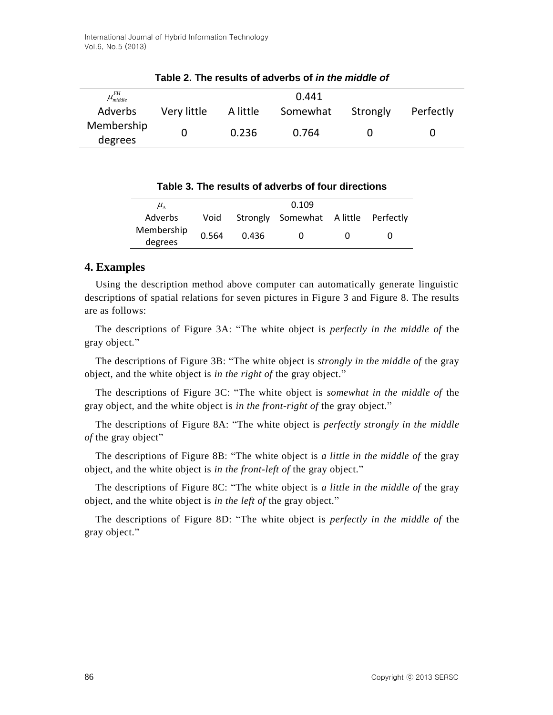| $\mu_{\scriptscriptstyle middle}^{\scriptscriptstyle FH}$ |             |          | 0.441    |          |           |
|-----------------------------------------------------------|-------------|----------|----------|----------|-----------|
| Adverbs                                                   | Very little | A little | Somewhat | Strongly | Perfectly |
| Membership<br>degrees                                     |             | 0.236    | 0.764    |          |           |

**Table 2. The results of adverbs of** *in the middle of*

|  |  | Table 3. The results of adverbs of four directions |  |  |
|--|--|----------------------------------------------------|--|--|
|--|--|----------------------------------------------------|--|--|

| $\mu_{\scriptscriptstyle \Lambda}$ | 0.109 |       |                                          |              |  |
|------------------------------------|-------|-------|------------------------------------------|--------------|--|
| Adverbs                            |       |       | Void Strongly Somewhat Alittle Perfectly |              |  |
| Membership<br>degrees              | 0.564 | 0.436 | $\Omega$                                 | $\mathbf{U}$ |  |

# **4. Examples**

Using the description method above computer can automatically generate linguistic descriptions of spatial relations for seven pictures in Figure 3 and Figure 8. The results are as follows:

The descriptions of Figure 3A: "The white object is *perfectly in the middle of* the gray object."

The descriptions of Figure 3B: "The white object is *strongly in the middle of* the gray object, and the white object is *in the right of* the gray object."

The descriptions of Figure 3C: "The white object is *somewhat in the middle of* the gray object, and the white object is *in the front-right of* the gray object."

The descriptions of Figure 8A: "The white object is *perfectly strongly in the middle of* the gray object"

The descriptions of Figure 8B: "The white object is *a little in the middle of* the gray object, and the white object is *in the front-left of* the gray object."

The descriptions of Figure 8C: "The white object is *a little in the middle of* the gray object, and the white object is *in the left of* the gray object."

The descriptions of Figure 8D: "The white object is *perfectly in the middle of* the gray object."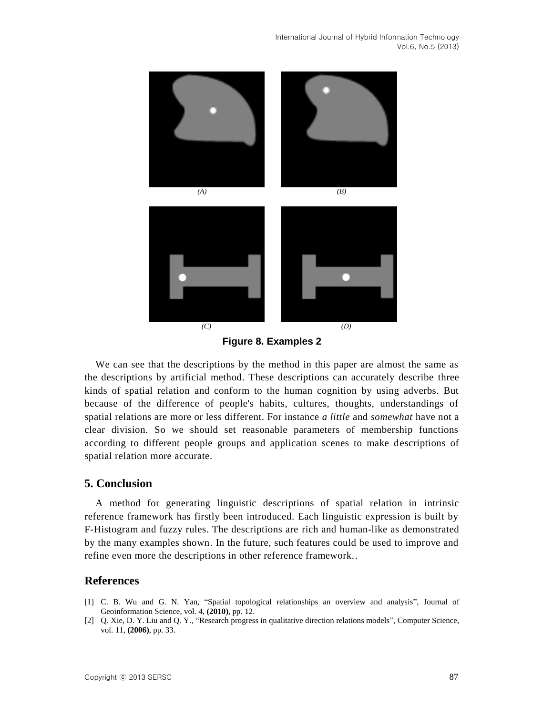

**Figure 8. Examples 2**

We can see that the descriptions by the method in this paper are almost the same as the descriptions by artificial method. These descriptions can accurately describe three kinds of spatial relation and conform to the human cognition by using adverbs. But because of the difference of people's habits, cultures, thoughts, understandings of spatial relations are more or less different. For instance *a little* and *somewhat* have not a clear division. So we should set reasonable parameters of membership functions according to different people groups and application scenes to make descriptions of spatial relation more accurate.

### **5. Conclusion**

A method for generating linguistic descriptions of spatial relation in intrinsic reference framework has firstly been introduced. Each linguistic expression is built by F-Histogram and fuzzy rules. The descriptions are rich and human-like as demonstrated by the many examples shown. In the future, such features could be used to improve and refine even more the descriptions in other reference framework..

### **References**

- [1] C. B. Wu and G. N. Yan, "Spatial topological relationships an overview and analysis", Journal of Geoinformation Science, vol. 4, **(2010)**, pp. 12.
- [2] Q. Xie, D. Y. Liu and Q. Y., "Research progress in qualitative direction relations models", Computer Science, vol. 11, **(2006)**, pp. 33.